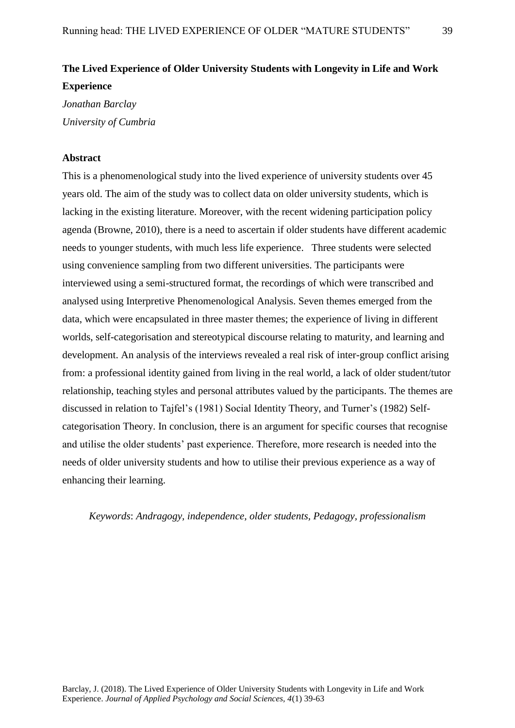# **The Lived Experience of Older University Students with Longevity in Life and Work Experience**

*Jonathan Barclay University of Cumbria*

# **Abstract**

This is a phenomenological study into the lived experience of university students over 45 years old. The aim of the study was to collect data on older university students, which is lacking in the existing literature. Moreover, with the recent widening participation policy agenda (Browne, 2010), there is a need to ascertain if older students have different academic needs to younger students, with much less life experience. Three students were selected using convenience sampling from two different universities. The participants were interviewed using a semi-structured format, the recordings of which were transcribed and analysed using Interpretive Phenomenological Analysis. Seven themes emerged from the data, which were encapsulated in three master themes; the experience of living in different worlds, self-categorisation and stereotypical discourse relating to maturity, and learning and development. An analysis of the interviews revealed a real risk of inter-group conflict arising from: a professional identity gained from living in the real world, a lack of older student/tutor relationship, teaching styles and personal attributes valued by the participants. The themes are discussed in relation to Tajfel's (1981) Social Identity Theory, and Turner's (1982) Selfcategorisation Theory. In conclusion, there is an argument for specific courses that recognise and utilise the older students' past experience. Therefore, more research is needed into the needs of older university students and how to utilise their previous experience as a way of enhancing their learning.

# *Keywords*: *Andragogy, independence, older students, Pedagogy, professionalism*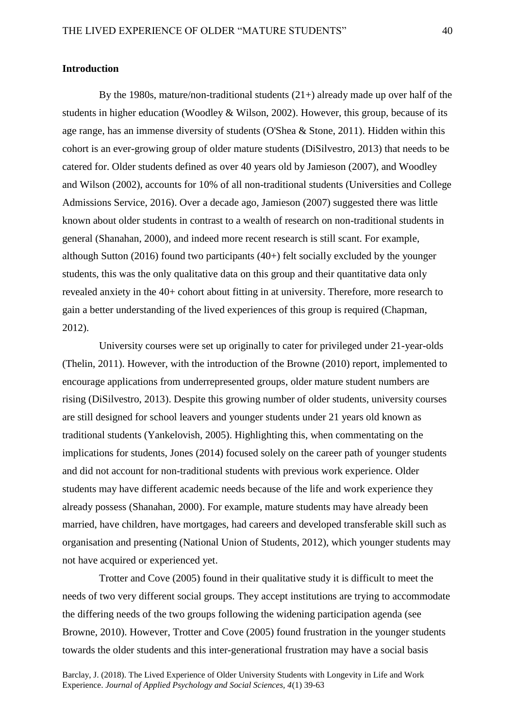## **Introduction**

By the 1980s, mature/non-traditional students  $(21+)$  already made up over half of the students in higher education (Woodley & Wilson, 2002). However, this group, because of its age range, has an immense diversity of students (O'Shea & Stone, 2011). Hidden within this cohort is an ever-growing group of older mature students (DiSilvestro, 2013) that needs to be catered for. Older students defined as over 40 years old by Jamieson (2007), and Woodley and Wilson (2002), accounts for 10% of all non-traditional students (Universities and College Admissions Service, 2016). Over a decade ago, Jamieson (2007) suggested there was little known about older students in contrast to a wealth of research on non-traditional students in general (Shanahan, 2000), and indeed more recent research is still scant. For example, although Sutton (2016) found two participants (40+) felt socially excluded by the younger students, this was the only qualitative data on this group and their quantitative data only revealed anxiety in the 40+ cohort about fitting in at university. Therefore, more research to gain a better understanding of the lived experiences of this group is required (Chapman, 2012).

University courses were set up originally to cater for privileged under 21-year-olds (Thelin, 2011). However, with the introduction of the Browne (2010) report, implemented to encourage applications from underrepresented groups, older mature student numbers are rising (DiSilvestro, 2013). Despite this growing number of older students, university courses are still designed for school leavers and younger students under 21 years old known as traditional students (Yankelovish, 2005). Highlighting this, when commentating on the implications for students, Jones (2014) focused solely on the career path of younger students and did not account for non-traditional students with previous work experience. Older students may have different academic needs because of the life and work experience they already possess (Shanahan, 2000). For example, mature students may have already been married, have children, have mortgages, had careers and developed transferable skill such as organisation and presenting (National Union of Students, 2012), which younger students may not have acquired or experienced yet.

Trotter and Cove (2005) found in their qualitative study it is difficult to meet the needs of two very different social groups. They accept institutions are trying to accommodate the differing needs of the two groups following the widening participation agenda (see Browne, 2010). However, Trotter and Cove (2005) found frustration in the younger students towards the older students and this inter-generational frustration may have a social basis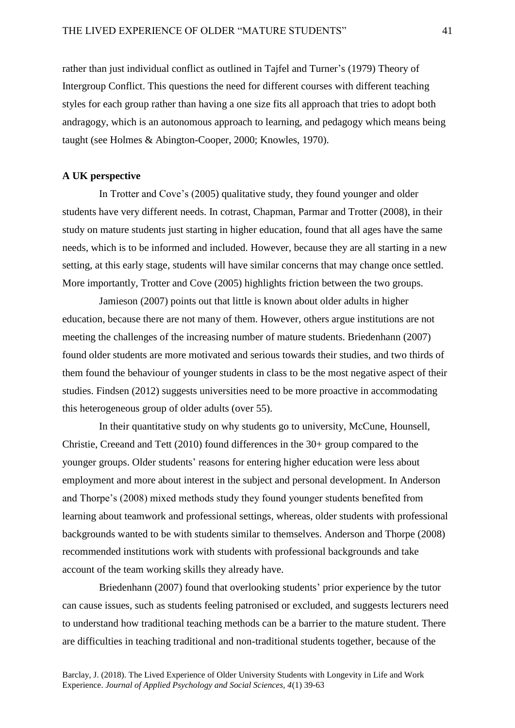rather than just individual conflict as outlined in Tajfel and Turner's (1979) Theory of Intergroup Conflict. This questions the need for different courses with different teaching styles for each group rather than having a one size fits all approach that tries to adopt both andragogy, which is an autonomous approach to learning, and pedagogy which means being taught (see Holmes & Abington-Cooper, 2000; Knowles, 1970).

# **A UK perspective**

In Trotter and Cove's (2005) qualitative study, they found younger and older students have very different needs. In cotrast, Chapman, Parmar and Trotter (2008), in their study on mature students just starting in higher education, found that all ages have the same needs, which is to be informed and included. However, because they are all starting in a new setting, at this early stage, students will have similar concerns that may change once settled. More importantly, Trotter and Cove (2005) highlights friction between the two groups.

Jamieson (2007) points out that little is known about older adults in higher education, because there are not many of them. However, others argue institutions are not meeting the challenges of the increasing number of mature students. Briedenhann (2007) found older students are more motivated and serious towards their studies, and two thirds of them found the behaviour of younger students in class to be the most negative aspect of their studies. Findsen (2012) suggests universities need to be more proactive in accommodating this heterogeneous group of older adults (over 55).

In their quantitative study on why students go to university, McCune, Hounsell, Christie, Creeand and Tett (2010) found differences in the 30+ group compared to the younger groups. Older students' reasons for entering higher education were less about employment and more about interest in the subject and personal development. In Anderson and Thorpe's (2008) mixed methods study they found younger students benefited from learning about teamwork and professional settings, whereas, older students with professional backgrounds wanted to be with students similar to themselves. Anderson and Thorpe (2008) recommended institutions work with students with professional backgrounds and take account of the team working skills they already have.

Briedenhann (2007) found that overlooking students' prior experience by the tutor can cause issues, such as students feeling patronised or excluded, and suggests lecturers need to understand how traditional teaching methods can be a barrier to the mature student. There are difficulties in teaching traditional and non-traditional students together, because of the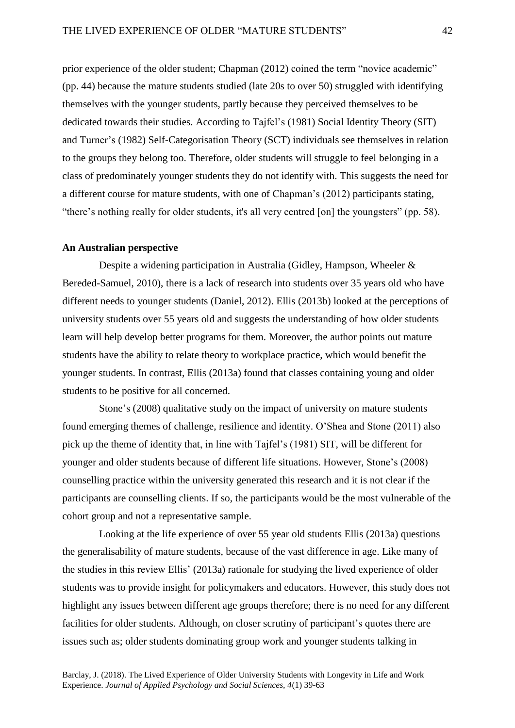prior experience of the older student; Chapman (2012) coined the term "novice academic" (pp. 44) because the mature students studied (late 20s to over 50) struggled with identifying themselves with the younger students, partly because they perceived themselves to be dedicated towards their studies. According to Tajfel's (1981) Social Identity Theory (SIT) and Turner's (1982) Self-Categorisation Theory (SCT) individuals see themselves in relation to the groups they belong too. Therefore, older students will struggle to feel belonging in a class of predominately younger students they do not identify with. This suggests the need for a different course for mature students, with one of Chapman's (2012) participants stating, "there's nothing really for older students, it's all very centred [on] the youngsters" (pp. 58).

## **An Australian perspective**

Despite a widening participation in Australia (Gidley, Hampson, Wheeler & Bereded-Samuel, 2010), there is a lack of research into students over 35 years old who have different needs to younger students (Daniel, 2012). Ellis (2013b) looked at the perceptions of university students over 55 years old and suggests the understanding of how older students learn will help develop better programs for them. Moreover, the author points out mature students have the ability to relate theory to workplace practice, which would benefit the younger students. In contrast, Ellis (2013a) found that classes containing young and older students to be positive for all concerned.

Stone's (2008) qualitative study on the impact of university on mature students found emerging themes of challenge, resilience and identity. O'Shea and Stone (2011) also pick up the theme of identity that, in line with Tajfel's (1981) SIT, will be different for younger and older students because of different life situations. However, Stone's (2008) counselling practice within the university generated this research and it is not clear if the participants are counselling clients. If so, the participants would be the most vulnerable of the cohort group and not a representative sample.

Looking at the life experience of over 55 year old students Ellis (2013a) questions the generalisability of mature students, because of the vast difference in age. Like many of the studies in this review Ellis' (2013a) rationale for studying the lived experience of older students was to provide insight for policymakers and educators. However, this study does not highlight any issues between different age groups therefore; there is no need for any different facilities for older students. Although, on closer scrutiny of participant's quotes there are issues such as; older students dominating group work and younger students talking in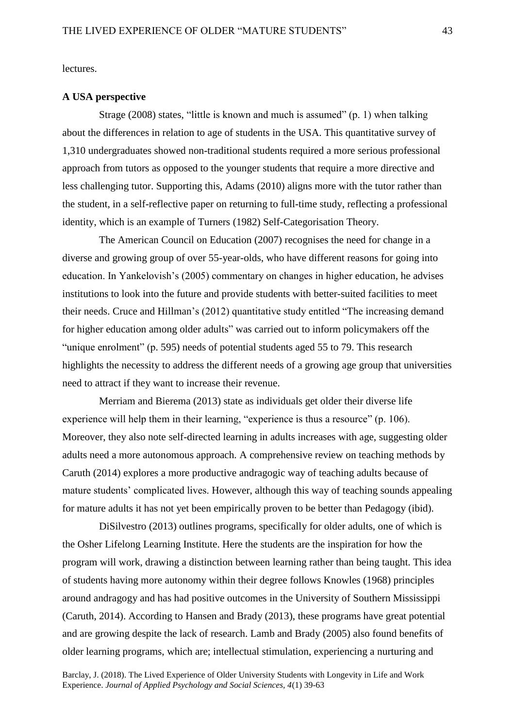lectures.

#### **A USA perspective**

Strage (2008) states, "little is known and much is assumed" (p. 1) when talking about the differences in relation to age of students in the USA. This quantitative survey of 1,310 undergraduates showed non-traditional students required a more serious professional approach from tutors as opposed to the younger students that require a more directive and less challenging tutor. Supporting this, Adams (2010) aligns more with the tutor rather than the student, in a self-reflective paper on returning to full-time study, reflecting a professional identity, which is an example of Turners (1982) Self-Categorisation Theory.

The American Council on Education (2007) recognises the need for change in a diverse and growing group of over 55-year-olds, who have different reasons for going into education. In Yankelovish's (2005) commentary on changes in higher education, he advises institutions to look into the future and provide students with better-suited facilities to meet their needs. Cruce and Hillman's (2012) quantitative study entitled "The increasing demand for higher education among older adults" was carried out to inform policymakers off the "unique enrolment" (p. 595) needs of potential students aged 55 to 79. This research highlights the necessity to address the different needs of a growing age group that universities need to attract if they want to increase their revenue.

Merriam and Bierema (2013) state as individuals get older their diverse life experience will help them in their learning, "experience is thus a resource" (p. 106). Moreover, they also note self-directed learning in adults increases with age, suggesting older adults need a more autonomous approach. A comprehensive review on teaching methods by Caruth (2014) explores a more productive andragogic way of teaching adults because of mature students' complicated lives. However, although this way of teaching sounds appealing for mature adults it has not yet been empirically proven to be better than Pedagogy (ibid).

DiSilvestro (2013) outlines programs, specifically for older adults, one of which is the Osher Lifelong Learning Institute. Here the students are the inspiration for how the program will work, drawing a distinction between learning rather than being taught. This idea of students having more autonomy within their degree follows Knowles (1968) principles around andragogy and has had positive outcomes in the University of Southern Mississippi (Caruth, 2014). According to Hansen and Brady (2013), these programs have great potential and are growing despite the lack of research. Lamb and Brady (2005) also found benefits of older learning programs, which are; intellectual stimulation, experiencing a nurturing and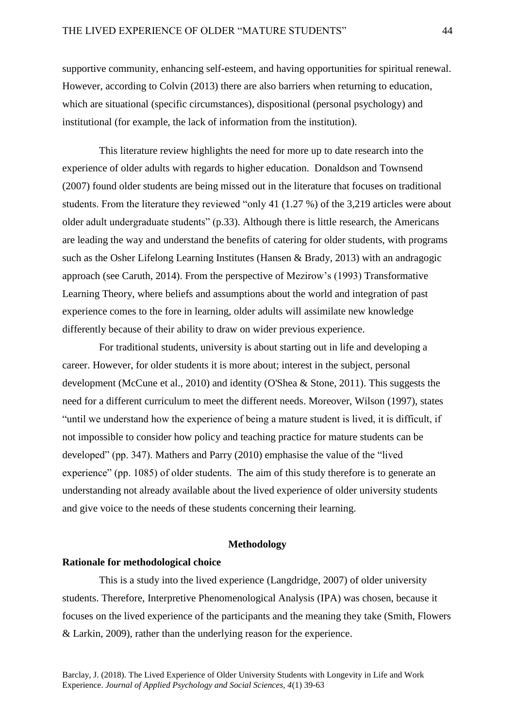supportive community, enhancing self-esteem, and having opportunities for spiritual renewal. However, according to Colvin (2013) there are also barriers when returning to education, which are situational (specific circumstances), dispositional (personal psychology) and institutional (for example, the lack of information from the institution).

This literature review highlights the need for more up to date research into the experience of older adults with regards to higher education. Donaldson and Townsend (2007) found older students are being missed out in the literature that focuses on traditional students. From the literature they reviewed "only 41 (1.27 %) of the 3,219 articles were about older adult undergraduate students" (p.33). Although there is little research, the Americans are leading the way and understand the benefits of catering for older students, with programs such as the Osher Lifelong Learning Institutes (Hansen & Brady, 2013) with an andragogic approach (see Caruth, 2014). From the perspective of Mezirow's (1993) Transformative Learning Theory, where beliefs and assumptions about the world and integration of past experience comes to the fore in learning, older adults will assimilate new knowledge differently because of their ability to draw on wider previous experience.

For traditional students, university is about starting out in life and developing a career. However, for older students it is more about; interest in the subject, personal development (McCune et al., 2010) and identity (O'Shea & Stone, 2011). This suggests the need for a different curriculum to meet the different needs. Moreover, Wilson (1997), states "until we understand how the experience of being a mature student is lived, it is difficult, if not impossible to consider how policy and teaching practice for mature students can be developed" (pp. 347). Mathers and Parry (2010) emphasise the value of the "lived experience" (pp. 1085) of older students. The aim of this study therefore is to generate an understanding not already available about the lived experience of older university students and give voice to the needs of these students concerning their learning.

# **Methodology**

## **Rationale for methodological choice**

This is a study into the lived experience (Langdridge, 2007) of older university students. Therefore, Interpretive Phenomenological Analysis (IPA) was chosen, because it focuses on the lived experience of the participants and the meaning they take (Smith, Flowers & Larkin, 2009), rather than the underlying reason for the experience.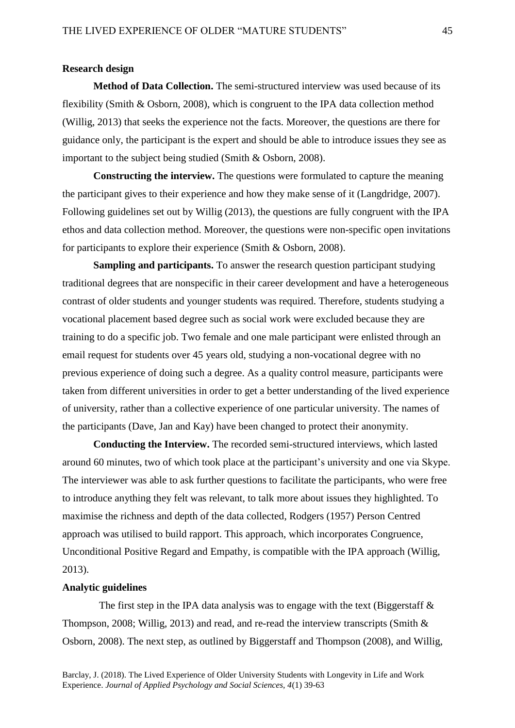# **Research design**

**Method of Data Collection.** The semi-structured interview was used because of its flexibility (Smith & Osborn, 2008), which is congruent to the IPA data collection method (Willig, 2013) that seeks the experience not the facts. Moreover, the questions are there for guidance only, the participant is the expert and should be able to introduce issues they see as important to the subject being studied (Smith & Osborn, 2008).

**Constructing the interview.** The questions were formulated to capture the meaning the participant gives to their experience and how they make sense of it (Langdridge, 2007). Following guidelines set out by Willig (2013), the questions are fully congruent with the IPA ethos and data collection method. Moreover, the questions were non-specific open invitations for participants to explore their experience (Smith & Osborn, 2008).

**Sampling and participants.** To answer the research question participant studying traditional degrees that are nonspecific in their career development and have a heterogeneous contrast of older students and younger students was required. Therefore, students studying a vocational placement based degree such as social work were excluded because they are training to do a specific job. Two female and one male participant were enlisted through an email request for students over 45 years old, studying a non-vocational degree with no previous experience of doing such a degree. As a quality control measure, participants were taken from different universities in order to get a better understanding of the lived experience of university, rather than a collective experience of one particular university. The names of the participants (Dave, Jan and Kay) have been changed to protect their anonymity.

**Conducting the Interview.** The recorded semi-structured interviews, which lasted around 60 minutes, two of which took place at the participant's university and one via Skype. The interviewer was able to ask further questions to facilitate the participants, who were free to introduce anything they felt was relevant, to talk more about issues they highlighted. To maximise the richness and depth of the data collected, Rodgers (1957) Person Centred approach was utilised to build rapport. This approach, which incorporates Congruence, Unconditional Positive Regard and Empathy, is compatible with the IPA approach (Willig, 2013).

# **Analytic guidelines**

The first step in the IPA data analysis was to engage with the text (Biggerstaff  $\&$ Thompson, 2008; Willig, 2013) and read, and re-read the interview transcripts (Smith & Osborn, 2008). The next step, as outlined by Biggerstaff and Thompson (2008), and Willig,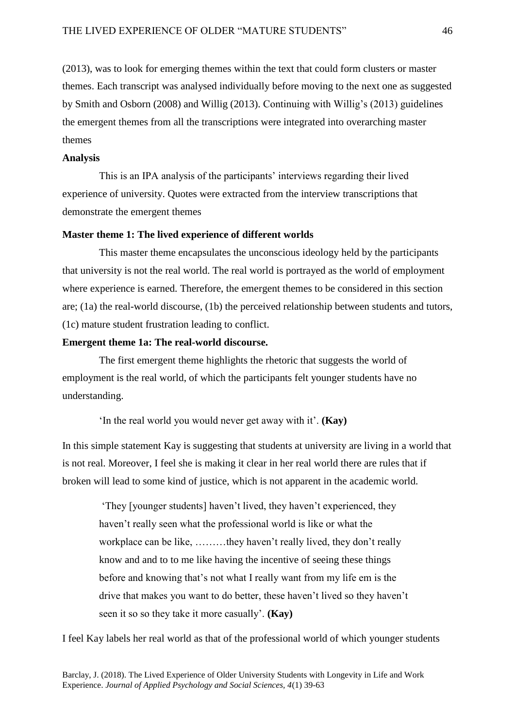(2013), was to look for emerging themes within the text that could form clusters or master themes. Each transcript was analysed individually before moving to the next one as suggested by Smith and Osborn (2008) and Willig (2013). Continuing with Willig's (2013) guidelines the emergent themes from all the transcriptions were integrated into overarching master themes

## **Analysis**

This is an IPA analysis of the participants' interviews regarding their lived experience of university. Quotes were extracted from the interview transcriptions that demonstrate the emergent themes

## **Master theme 1: The lived experience of different worlds**

This master theme encapsulates the unconscious ideology held by the participants that university is not the real world. The real world is portrayed as the world of employment where experience is earned. Therefore, the emergent themes to be considered in this section are; (1a) the real-world discourse, (1b) the perceived relationship between students and tutors, (1c) mature student frustration leading to conflict.

#### **Emergent theme 1a: The real-world discourse.**

The first emergent theme highlights the rhetoric that suggests the world of employment is the real world, of which the participants felt younger students have no understanding.

'In the real world you would never get away with it'. **(Kay)**

In this simple statement Kay is suggesting that students at university are living in a world that is not real. Moreover, I feel she is making it clear in her real world there are rules that if broken will lead to some kind of justice, which is not apparent in the academic world.

'They [younger students] haven't lived, they haven't experienced, they haven't really seen what the professional world is like or what the workplace can be like, ………they haven't really lived, they don't really know and and to to me like having the incentive of seeing these things before and knowing that's not what I really want from my life em is the drive that makes you want to do better, these haven't lived so they haven't seen it so so they take it more casually'. **(Kay)**

I feel Kay labels her real world as that of the professional world of which younger students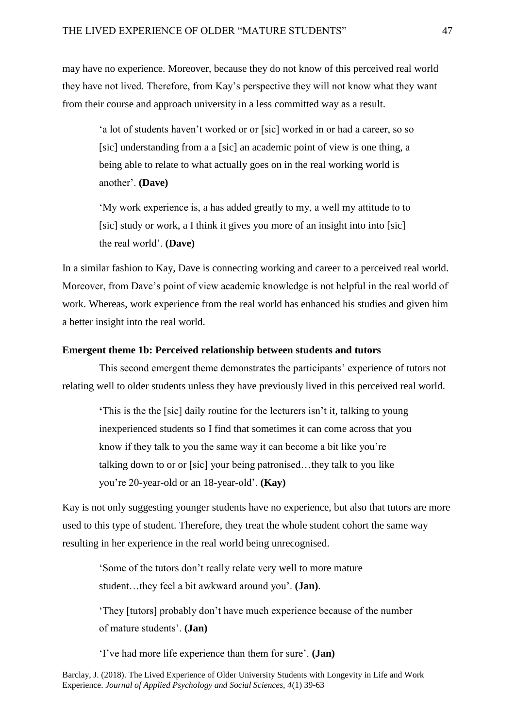may have no experience. Moreover, because they do not know of this perceived real world they have not lived. Therefore, from Kay's perspective they will not know what they want from their course and approach university in a less committed way as a result.

'a lot of students haven't worked or or [sic] worked in or had a career, so so [sic] understanding from a a [sic] an academic point of view is one thing, a being able to relate to what actually goes on in the real working world is another'. **(Dave)**

'My work experience is, a has added greatly to my, a well my attitude to to [sic] study or work, a I think it gives you more of an insight into into [sic] the real world'. **(Dave)**

In a similar fashion to Kay, Dave is connecting working and career to a perceived real world. Moreover, from Dave's point of view academic knowledge is not helpful in the real world of work. Whereas, work experience from the real world has enhanced his studies and given him a better insight into the real world.

## **Emergent theme 1b: Perceived relationship between students and tutors**

This second emergent theme demonstrates the participants' experience of tutors not relating well to older students unless they have previously lived in this perceived real world.

**'**This is the the [sic] daily routine for the lecturers isn't it, talking to young inexperienced students so I find that sometimes it can come across that you know if they talk to you the same way it can become a bit like you're talking down to or or [sic] your being patronised…they talk to you like you're 20-year-old or an 18-year-old'. **(Kay)**

Kay is not only suggesting younger students have no experience, but also that tutors are more used to this type of student. Therefore, they treat the whole student cohort the same way resulting in her experience in the real world being unrecognised.

'Some of the tutors don't really relate very well to more mature student…they feel a bit awkward around you'. **(Jan)**.

'They [tutors] probably don't have much experience because of the number of mature students'. **(Jan)**

'I've had more life experience than them for sure'. **(Jan)**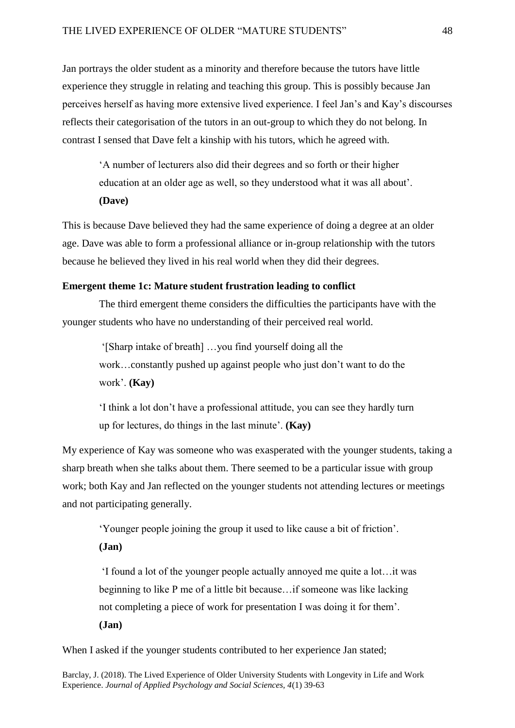Jan portrays the older student as a minority and therefore because the tutors have little experience they struggle in relating and teaching this group. This is possibly because Jan perceives herself as having more extensive lived experience. I feel Jan's and Kay's discourses reflects their categorisation of the tutors in an out-group to which they do not belong. In contrast I sensed that Dave felt a kinship with his tutors, which he agreed with.

'A number of lecturers also did their degrees and so forth or their higher education at an older age as well, so they understood what it was all about'. **(Dave)**

This is because Dave believed they had the same experience of doing a degree at an older age. Dave was able to form a professional alliance or in-group relationship with the tutors because he believed they lived in his real world when they did their degrees.

#### **Emergent theme 1c: Mature student frustration leading to conflict**

The third emergent theme considers the difficulties the participants have with the younger students who have no understanding of their perceived real world.

'[Sharp intake of breath] …you find yourself doing all the work…constantly pushed up against people who just don't want to do the work'. **(Kay)**

'I think a lot don't have a professional attitude, you can see they hardly turn up for lectures, do things in the last minute'. **(Kay)**

My experience of Kay was someone who was exasperated with the younger students, taking a sharp breath when she talks about them. There seemed to be a particular issue with group work; both Kay and Jan reflected on the younger students not attending lectures or meetings and not participating generally.

'Younger people joining the group it used to like cause a bit of friction'.

**(Jan)**

'I found a lot of the younger people actually annoyed me quite a lot…it was beginning to like P me of a little bit because…if someone was like lacking not completing a piece of work for presentation I was doing it for them'. **(Jan)**

When I asked if the younger students contributed to her experience Jan stated;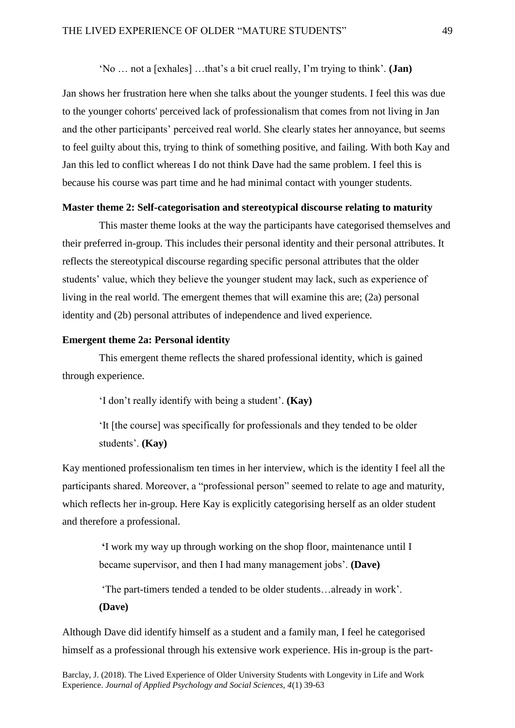'No … not a [exhales] …that's a bit cruel really, I'm trying to think'. **(Jan)**

Jan shows her frustration here when she talks about the younger students. I feel this was due to the younger cohorts' perceived lack of professionalism that comes from not living in Jan and the other participants' perceived real world. She clearly states her annoyance, but seems to feel guilty about this, trying to think of something positive, and failing. With both Kay and Jan this led to conflict whereas I do not think Dave had the same problem. I feel this is because his course was part time and he had minimal contact with younger students.

# **Master theme 2: Self-categorisation and stereotypical discourse relating to maturity**

This master theme looks at the way the participants have categorised themselves and their preferred in-group. This includes their personal identity and their personal attributes. It reflects the stereotypical discourse regarding specific personal attributes that the older students' value, which they believe the younger student may lack, such as experience of living in the real world. The emergent themes that will examine this are; (2a) personal identity and (2b) personal attributes of independence and lived experience.

# **Emergent theme 2a: Personal identity**

This emergent theme reflects the shared professional identity, which is gained through experience.

'I don't really identify with being a student'. **(Kay)**

'It [the course] was specifically for professionals and they tended to be older students'. **(Kay)**

Kay mentioned professionalism ten times in her interview, which is the identity I feel all the participants shared. Moreover, a "professional person" seemed to relate to age and maturity, which reflects her in-group. Here Kay is explicitly categorising herself as an older student and therefore a professional.

**'**I work my way up through working on the shop floor, maintenance until I became supervisor, and then I had many management jobs'. **(Dave)**

'The part-timers tended a tended to be older students…already in work'. **(Dave)**

Although Dave did identify himself as a student and a family man, I feel he categorised himself as a professional through his extensive work experience. His in-group is the part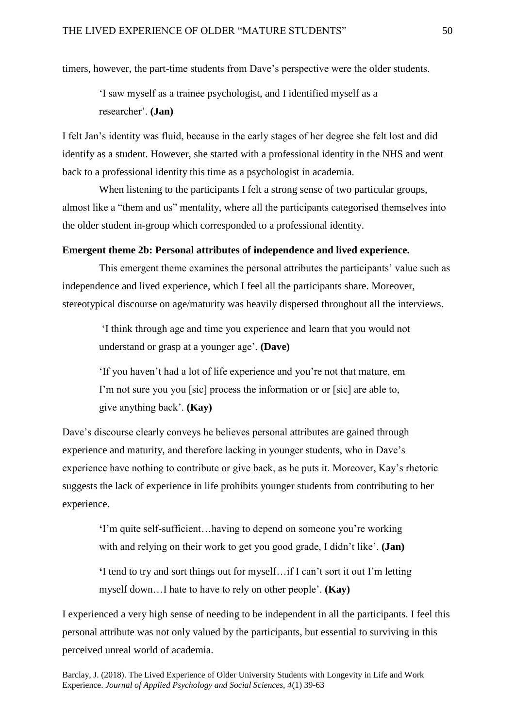timers, however, the part-time students from Dave's perspective were the older students.

'I saw myself as a trainee psychologist, and I identified myself as a researcher'. **(Jan)**

I felt Jan's identity was fluid, because in the early stages of her degree she felt lost and did identify as a student. However, she started with a professional identity in the NHS and went back to a professional identity this time as a psychologist in academia.

When listening to the participants I felt a strong sense of two particular groups, almost like a "them and us" mentality, where all the participants categorised themselves into the older student in-group which corresponded to a professional identity.

# **Emergent theme 2b: Personal attributes of independence and lived experience.**

This emergent theme examines the personal attributes the participants' value such as independence and lived experience, which I feel all the participants share. Moreover, stereotypical discourse on age/maturity was heavily dispersed throughout all the interviews.

'I think through age and time you experience and learn that you would not understand or grasp at a younger age'. **(Dave)**

'If you haven't had a lot of life experience and you're not that mature, em I'm not sure you you [sic] process the information or or [sic] are able to, give anything back'. **(Kay)**

Dave's discourse clearly conveys he believes personal attributes are gained through experience and maturity, and therefore lacking in younger students, who in Dave's experience have nothing to contribute or give back, as he puts it. Moreover, Kay's rhetoric suggests the lack of experience in life prohibits younger students from contributing to her experience.

**'**I'm quite self-sufficient…having to depend on someone you're working with and relying on their work to get you good grade, I didn't like'. **(Jan)**

**'**I tend to try and sort things out for myself…if I can't sort it out I'm letting myself down…I hate to have to rely on other people'. **(Kay)**

I experienced a very high sense of needing to be independent in all the participants. I feel this personal attribute was not only valued by the participants, but essential to surviving in this perceived unreal world of academia.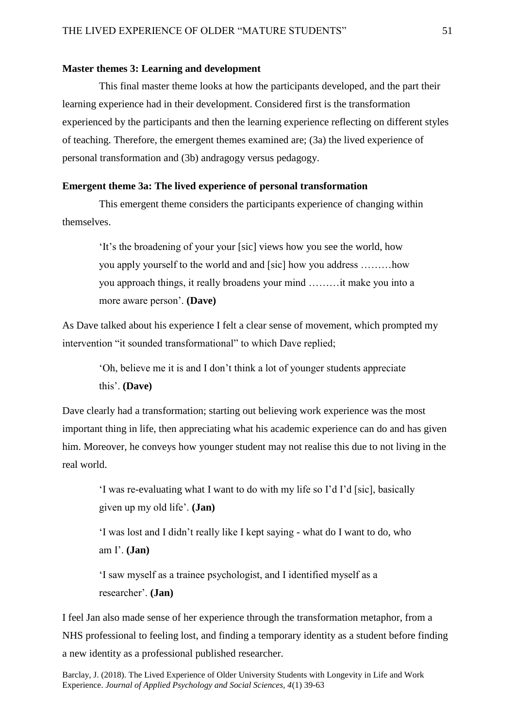## **Master themes 3: Learning and development**

This final master theme looks at how the participants developed, and the part their learning experience had in their development. Considered first is the transformation experienced by the participants and then the learning experience reflecting on different styles of teaching. Therefore, the emergent themes examined are; (3a) the lived experience of personal transformation and (3b) andragogy versus pedagogy.

## **Emergent theme 3a: The lived experience of personal transformation**

This emergent theme considers the participants experience of changing within themselves.

'It's the broadening of your your [sic] views how you see the world, how you apply yourself to the world and and [sic] how you address ………how you approach things, it really broadens your mind ………it make you into a more aware person'. **(Dave)**

As Dave talked about his experience I felt a clear sense of movement, which prompted my intervention "it sounded transformational" to which Dave replied;

'Oh, believe me it is and I don't think a lot of younger students appreciate this'. **(Dave)**

Dave clearly had a transformation; starting out believing work experience was the most important thing in life, then appreciating what his academic experience can do and has given him. Moreover, he conveys how younger student may not realise this due to not living in the real world.

'I was re-evaluating what I want to do with my life so I'd I'd [sic], basically given up my old life'. **(Jan)**

'I was lost and I didn't really like I kept saying - what do I want to do, who am I'. **(Jan)**

'I saw myself as a trainee psychologist, and I identified myself as a researcher'. **(Jan)**

I feel Jan also made sense of her experience through the transformation metaphor, from a NHS professional to feeling lost, and finding a temporary identity as a student before finding a new identity as a professional published researcher.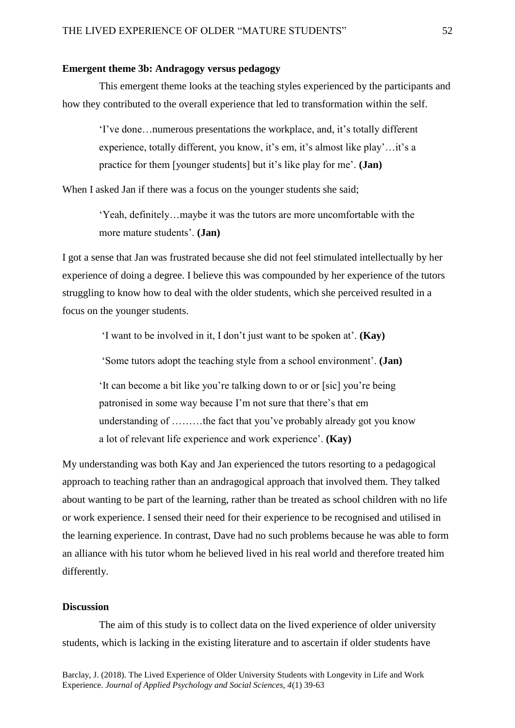# **Emergent theme 3b: Andragogy versus pedagogy**

This emergent theme looks at the teaching styles experienced by the participants and how they contributed to the overall experience that led to transformation within the self.

'I've done…numerous presentations the workplace, and, it's totally different experience, totally different, you know, it's em, it's almost like play'…it's a practice for them [younger students] but it's like play for me'. **(Jan)**

When I asked Jan if there was a focus on the younger students she said;

'Yeah, definitely…maybe it was the tutors are more uncomfortable with the more mature students'. **(Jan)**

I got a sense that Jan was frustrated because she did not feel stimulated intellectually by her experience of doing a degree. I believe this was compounded by her experience of the tutors struggling to know how to deal with the older students, which she perceived resulted in a focus on the younger students.

'I want to be involved in it, I don't just want to be spoken at'. **(Kay)**

'Some tutors adopt the teaching style from a school environment'. **(Jan)**

'It can become a bit like you're talking down to or or [sic] you're being patronised in some way because I'm not sure that there's that em understanding of ………the fact that you've probably already got you know a lot of relevant life experience and work experience'. **(Kay)**

My understanding was both Kay and Jan experienced the tutors resorting to a pedagogical approach to teaching rather than an andragogical approach that involved them. They talked about wanting to be part of the learning, rather than be treated as school children with no life or work experience. I sensed their need for their experience to be recognised and utilised in the learning experience. In contrast, Dave had no such problems because he was able to form an alliance with his tutor whom he believed lived in his real world and therefore treated him differently.

# **Discussion**

The aim of this study is to collect data on the lived experience of older university students, which is lacking in the existing literature and to ascertain if older students have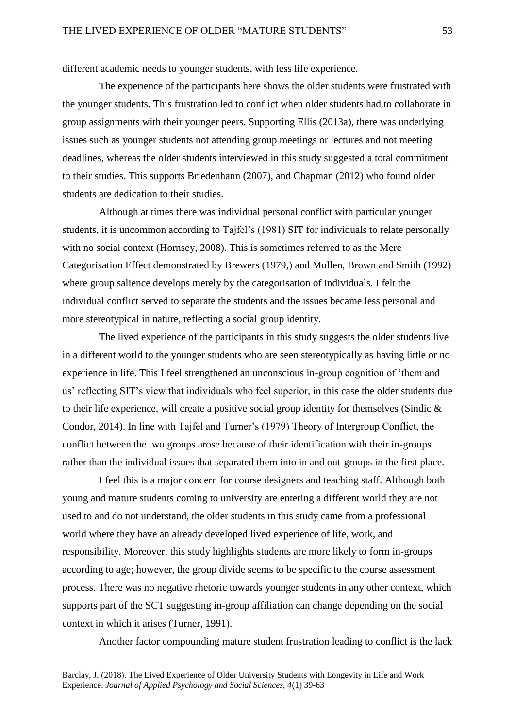different academic needs to younger students, with less life experience.

The experience of the participants here shows the older students were frustrated with the younger students. This frustration led to conflict when older students had to collaborate in group assignments with their younger peers. Supporting Ellis (2013a), there was underlying issues such as younger students not attending group meetings or lectures and not meeting deadlines, whereas the older students interviewed in this study suggested a total commitment to their studies. This supports Briedenhann (2007), and Chapman (2012) who found older students are dedication to their studies.

Although at times there was individual personal conflict with particular younger students, it is uncommon according to Tajfel's (1981) SIT for individuals to relate personally with no social context (Hornsey, 2008). This is sometimes referred to as the Mere Categorisation Effect demonstrated by Brewers (1979,) and Mullen, Brown and Smith (1992) where group salience develops merely by the categorisation of individuals. I felt the individual conflict served to separate the students and the issues became less personal and more stereotypical in nature, reflecting a social group identity.

The lived experience of the participants in this study suggests the older students live in a different world to the younger students who are seen stereotypically as having little or no experience in life. This I feel strengthened an unconscious in-group cognition of 'them and us' reflecting SIT's view that individuals who feel superior, in this case the older students due to their life experience, will create a positive social group identity for themselves (Sindic  $\&$ Condor, 2014). In line with Tajfel and Turner's (1979) Theory of Intergroup Conflict, the conflict between the two groups arose because of their identification with their in-groups rather than the individual issues that separated them into in and out-groups in the first place.

I feel this is a major concern for course designers and teaching staff. Although both young and mature students coming to university are entering a different world they are not used to and do not understand, the older students in this study came from a professional world where they have an already developed lived experience of life, work, and responsibility. Moreover, this study highlights students are more likely to form in-groups according to age; however, the group divide seems to be specific to the course assessment process. There was no negative rhetoric towards younger students in any other context, which supports part of the SCT suggesting in-group affiliation can change depending on the social context in which it arises (Turner, 1991).

Another factor compounding mature student frustration leading to conflict is the lack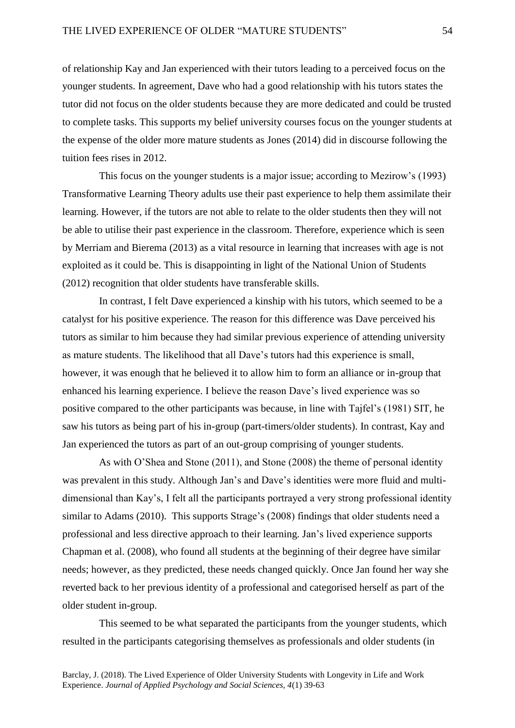of relationship Kay and Jan experienced with their tutors leading to a perceived focus on the younger students. In agreement, Dave who had a good relationship with his tutors states the tutor did not focus on the older students because they are more dedicated and could be trusted to complete tasks. This supports my belief university courses focus on the younger students at the expense of the older more mature students as Jones (2014) did in discourse following the tuition fees rises in 2012.

This focus on the younger students is a major issue; according to Mezirow's (1993) Transformative Learning Theory adults use their past experience to help them assimilate their learning. However, if the tutors are not able to relate to the older students then they will not be able to utilise their past experience in the classroom. Therefore, experience which is seen by Merriam and Bierema (2013) as a vital resource in learning that increases with age is not exploited as it could be. This is disappointing in light of the National Union of Students (2012) recognition that older students have transferable skills.

In contrast, I felt Dave experienced a kinship with his tutors, which seemed to be a catalyst for his positive experience. The reason for this difference was Dave perceived his tutors as similar to him because they had similar previous experience of attending university as mature students. The likelihood that all Dave's tutors had this experience is small, however, it was enough that he believed it to allow him to form an alliance or in-group that enhanced his learning experience. I believe the reason Dave's lived experience was so positive compared to the other participants was because, in line with Tajfel's (1981) SIT, he saw his tutors as being part of his in-group (part-timers/older students). In contrast, Kay and Jan experienced the tutors as part of an out-group comprising of younger students.

As with O'Shea and Stone (2011), and Stone (2008) the theme of personal identity was prevalent in this study. Although Jan's and Dave's identities were more fluid and multidimensional than Kay's, I felt all the participants portrayed a very strong professional identity similar to Adams (2010). This supports Strage's (2008) findings that older students need a professional and less directive approach to their learning. Jan's lived experience supports Chapman et al. (2008), who found all students at the beginning of their degree have similar needs; however, as they predicted, these needs changed quickly. Once Jan found her way she reverted back to her previous identity of a professional and categorised herself as part of the older student in-group.

This seemed to be what separated the participants from the younger students, which resulted in the participants categorising themselves as professionals and older students (in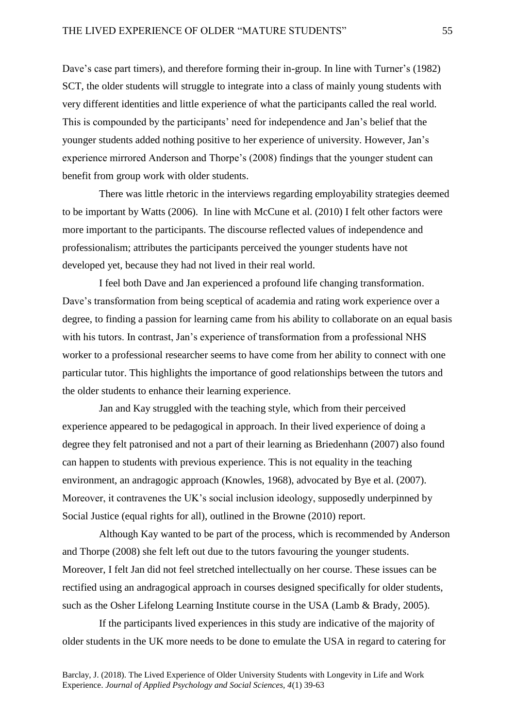Dave's case part timers), and therefore forming their in-group. In line with Turner's (1982) SCT, the older students will struggle to integrate into a class of mainly young students with very different identities and little experience of what the participants called the real world. This is compounded by the participants' need for independence and Jan's belief that the younger students added nothing positive to her experience of university. However, Jan's experience mirrored Anderson and Thorpe's (2008) findings that the younger student can benefit from group work with older students.

There was little rhetoric in the interviews regarding employability strategies deemed to be important by Watts (2006). In line with McCune et al. (2010) I felt other factors were more important to the participants. The discourse reflected values of independence and professionalism; attributes the participants perceived the younger students have not developed yet, because they had not lived in their real world.

I feel both Dave and Jan experienced a profound life changing transformation. Dave's transformation from being sceptical of academia and rating work experience over a degree, to finding a passion for learning came from his ability to collaborate on an equal basis with his tutors. In contrast, Jan's experience of transformation from a professional NHS worker to a professional researcher seems to have come from her ability to connect with one particular tutor. This highlights the importance of good relationships between the tutors and the older students to enhance their learning experience.

Jan and Kay struggled with the teaching style, which from their perceived experience appeared to be pedagogical in approach. In their lived experience of doing a degree they felt patronised and not a part of their learning as Briedenhann (2007) also found can happen to students with previous experience. This is not equality in the teaching environment, an andragogic approach (Knowles, 1968), advocated by Bye et al. (2007). Moreover, it contravenes the UK's social inclusion ideology, supposedly underpinned by Social Justice (equal rights for all), outlined in the Browne (2010) report.

Although Kay wanted to be part of the process, which is recommended by Anderson and Thorpe (2008) she felt left out due to the tutors favouring the younger students. Moreover, I felt Jan did not feel stretched intellectually on her course. These issues can be rectified using an andragogical approach in courses designed specifically for older students, such as the Osher Lifelong Learning Institute course in the USA (Lamb & Brady, 2005).

If the participants lived experiences in this study are indicative of the majority of older students in the UK more needs to be done to emulate the USA in regard to catering for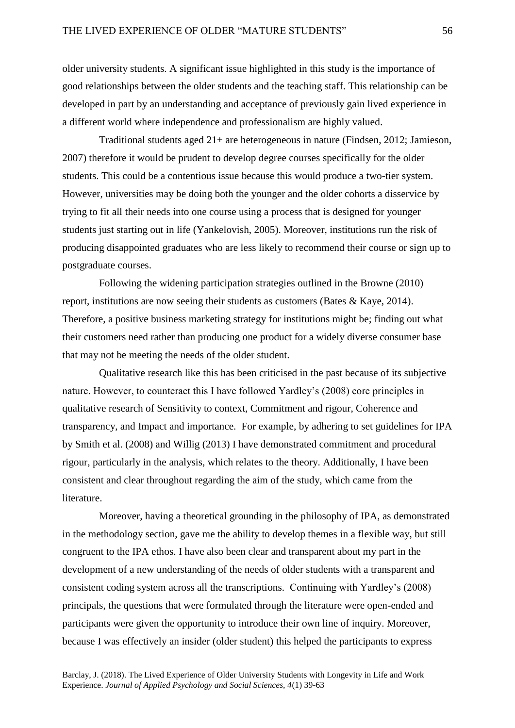older university students. A significant issue highlighted in this study is the importance of good relationships between the older students and the teaching staff. This relationship can be developed in part by an understanding and acceptance of previously gain lived experience in a different world where independence and professionalism are highly valued.

Traditional students aged 21+ are heterogeneous in nature (Findsen, 2012; Jamieson, 2007) therefore it would be prudent to develop degree courses specifically for the older students. This could be a contentious issue because this would produce a two-tier system. However, universities may be doing both the younger and the older cohorts a disservice by trying to fit all their needs into one course using a process that is designed for younger students just starting out in life (Yankelovish, 2005). Moreover, institutions run the risk of producing disappointed graduates who are less likely to recommend their course or sign up to postgraduate courses.

Following the widening participation strategies outlined in the Browne (2010) report, institutions are now seeing their students as customers (Bates & Kaye, 2014). Therefore, a positive business marketing strategy for institutions might be; finding out what their customers need rather than producing one product for a widely diverse consumer base that may not be meeting the needs of the older student.

Qualitative research like this has been criticised in the past because of its subjective nature. However, to counteract this I have followed Yardley's (2008) core principles in qualitative research of Sensitivity to context, Commitment and rigour, Coherence and transparency, and Impact and importance. For example, by adhering to set guidelines for IPA by Smith et al. (2008) and Willig (2013) I have demonstrated commitment and procedural rigour, particularly in the analysis, which relates to the theory. Additionally, I have been consistent and clear throughout regarding the aim of the study, which came from the literature.

Moreover, having a theoretical grounding in the philosophy of IPA, as demonstrated in the methodology section, gave me the ability to develop themes in a flexible way, but still congruent to the IPA ethos. I have also been clear and transparent about my part in the development of a new understanding of the needs of older students with a transparent and consistent coding system across all the transcriptions. Continuing with Yardley's (2008) principals, the questions that were formulated through the literature were open-ended and participants were given the opportunity to introduce their own line of inquiry. Moreover, because I was effectively an insider (older student) this helped the participants to express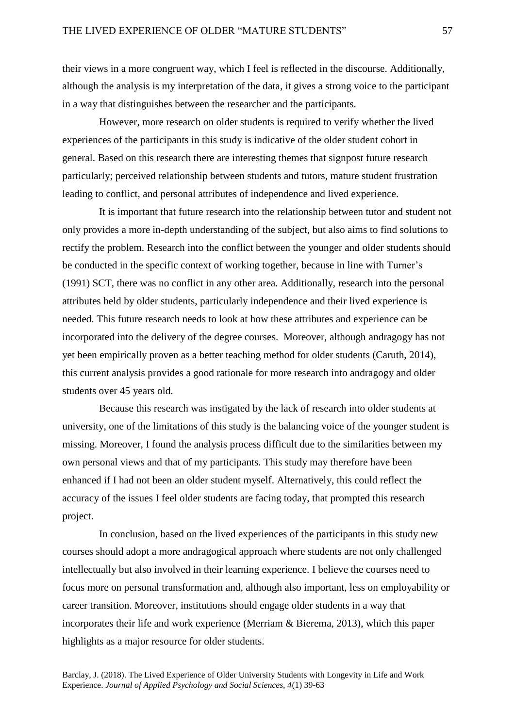their views in a more congruent way, which I feel is reflected in the discourse. Additionally, although the analysis is my interpretation of the data, it gives a strong voice to the participant in a way that distinguishes between the researcher and the participants.

However, more research on older students is required to verify whether the lived experiences of the participants in this study is indicative of the older student cohort in general. Based on this research there are interesting themes that signpost future research particularly; perceived relationship between students and tutors, mature student frustration leading to conflict, and personal attributes of independence and lived experience.

It is important that future research into the relationship between tutor and student not only provides a more in-depth understanding of the subject, but also aims to find solutions to rectify the problem. Research into the conflict between the younger and older students should be conducted in the specific context of working together, because in line with Turner's (1991) SCT, there was no conflict in any other area. Additionally, research into the personal attributes held by older students, particularly independence and their lived experience is needed. This future research needs to look at how these attributes and experience can be incorporated into the delivery of the degree courses. Moreover, although andragogy has not yet been empirically proven as a better teaching method for older students (Caruth, 2014), this current analysis provides a good rationale for more research into andragogy and older students over 45 years old.

Because this research was instigated by the lack of research into older students at university, one of the limitations of this study is the balancing voice of the younger student is missing. Moreover, I found the analysis process difficult due to the similarities between my own personal views and that of my participants. This study may therefore have been enhanced if I had not been an older student myself. Alternatively, this could reflect the accuracy of the issues I feel older students are facing today, that prompted this research project.

In conclusion, based on the lived experiences of the participants in this study new courses should adopt a more andragogical approach where students are not only challenged intellectually but also involved in their learning experience. I believe the courses need to focus more on personal transformation and, although also important, less on employability or career transition. Moreover, institutions should engage older students in a way that incorporates their life and work experience (Merriam & Bierema, 2013), which this paper highlights as a major resource for older students.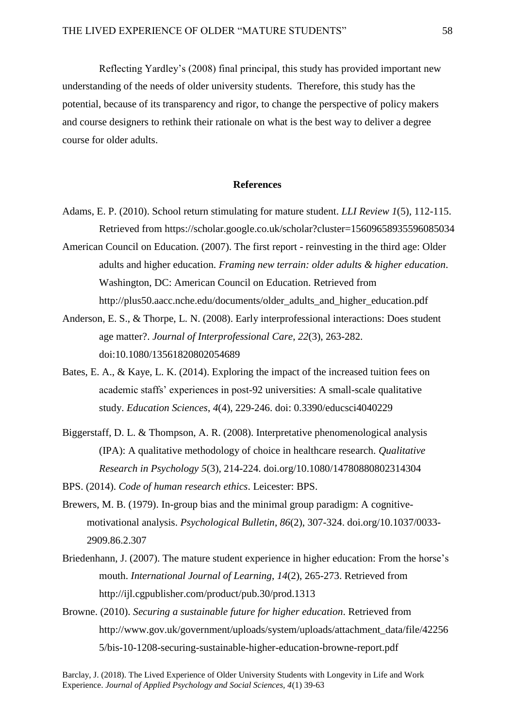Reflecting Yardley's (2008) final principal, this study has provided important new understanding of the needs of older university students. Therefore, this study has the potential, because of its transparency and rigor, to change the perspective of policy makers and course designers to rethink their rationale on what is the best way to deliver a degree course for older adults.

## **References**

- Adams, E. P. (2010). School return stimulating for mature student. *LLI Review 1*(5)*,* 112-115. Retrieved from https://scholar.google.co.uk/scholar?cluster=15609658935596085034
- American Council on Education. (2007). The first report reinvesting in the third age: Older adults and higher education. *Framing new terrain: older adults & higher education*. Washington, DC: American Council on Education. Retrieved from http://plus50.aacc.nche.edu/documents/older\_adults\_and\_higher\_education.pdf
- Anderson, E. S., & Thorpe, L. N. (2008). Early interprofessional interactions: Does student age matter?. *Journal of Interprofessional Care*, *22*(3), 263-282. doi:10.1080/13561820802054689
- Bates, E. A., & Kaye, L. K. (2014). Exploring the impact of the increased tuition fees on academic staffs' experiences in post-92 universities: A small-scale qualitative study. *Education Sciences*, *4*(4), 229-246. doi: 0.3390/educsci4040229
- Biggerstaff, D. L. & Thompson, A. R. (2008). Interpretative phenomenological analysis (IPA): A qualitative methodology of choice in healthcare research. *Qualitative Research in Psychology 5*(3), 214-224. [doi.org/10.1080/14780880802314304](http://dx.doi.org/10.1080/14780880802314304)
- BPS. (2014). *Code of human research ethics*. Leicester: BPS.
- Brewers, M. B. (1979). In-group bias and the minimal group paradigm: A cognitivemotivational analysis. *Psychological Bulletin*, *86*(2), 307-324. [doi.org/10.1037/0033-](http://psycnet.apa.org/doi/10.1037/0033-2909.86.2.307) [2909.86.2.307](http://psycnet.apa.org/doi/10.1037/0033-2909.86.2.307)
- Briedenhann, J. (2007). The mature student experience in higher education: From the horse's mouth. *International Journal of Learning*, *14*(2), 265-273. Retrieved from http://ijl.cgpublisher.com/product/pub.30/prod.1313
- Browne. (2010). *Securing a sustainable future for higher education*. Retrieved from http://www.gov.uk/government/uploads/system/uploads/attachment\_data/file/42256 5/bis-10-1208-securing-sustainable-higher-education-browne-report.pdf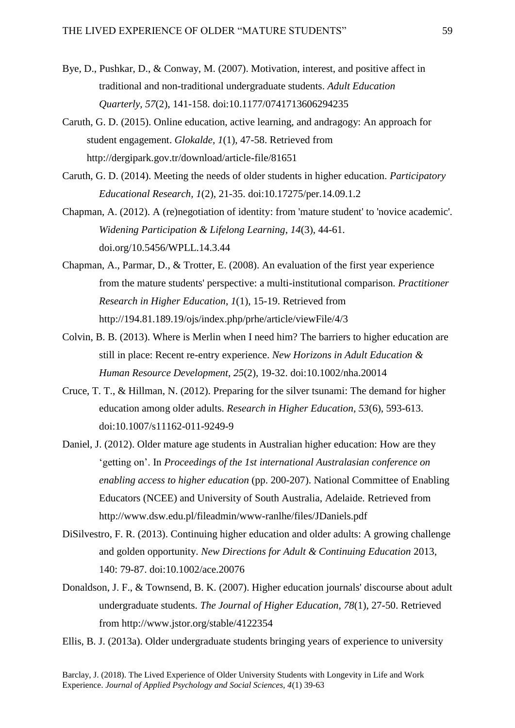- Bye, D., Pushkar, D., & Conway, M. (2007). Motivation, interest, and positive affect in traditional and non-traditional undergraduate students. *Adult Education Quarterly, 57*(2), 141-158. doi:10.1177/0741713606294235
- Caruth, G. D. (2015). Online education, active learning, and andragogy: An approach for student engagement. *Glokalde*, *1*(1), 47-58. Retrieved from http://dergipark.gov.tr/download/article-file/81651
- Caruth, G. D. (2014). Meeting the needs of older students in higher education. *Participatory Educational Research, 1*(2), 21-35. doi:10.17275/per.14.09.1.2
- Chapman, A. (2012). A (re)negotiation of identity: from 'mature student' to 'novice academic'. *Widening Participation & Lifelong Learning*, *14*(3), 44-61. [doi.org/10.5456/WPLL.14.3.44](https://doi.org/10.5456/WPLL.14.3.44)
- Chapman, A., Parmar, D., & Trotter, E. (2008). An evaluation of the first year experience from the mature students' perspective: a multi-institutional comparison. *Practitioner Research in Higher Education*, *1*(1), 15-19. Retrieved from http://194.81.189.19/ojs/index.php/prhe/article/viewFile/4/3
- Colvin, B. B. (2013). Where is Merlin when I need him? The barriers to higher education are still in place: Recent re-entry experience. *New Horizons in Adult Education & Human Resource Development*, *25*(2), 19-32. doi:10.1002/nha.20014
- Cruce, T. T., & Hillman, N. (2012). Preparing for the silver tsunami: The demand for higher education among older adults. *Research in Higher Education, 53*(6), 593-613. doi:10.1007/s11162-011-9249-9
- Daniel, J. (2012). Older mature age students in Australian higher education: How are they 'getting on'. In *Proceedings of the 1st international Australasian conference on enabling access to higher education* (pp. 200-207). National Committee of Enabling Educators (NCEE) and University of South Australia, Adelaide. Retrieved from http://www.dsw.edu.pl/fileadmin/www-ranlhe/files/JDaniels.pdf
- DiSilvestro, F. R. (2013). Continuing higher education and older adults: A growing challenge and golden opportunity. *New Directions for Adult & Continuing Education* 2013, 140: 79-87. doi:10.1002/ace.20076
- Donaldson, J. F., & Townsend, B. K. (2007). Higher education journals' discourse about adult undergraduate students. *The Journal of Higher Education*, *78*(1), 27-50. Retrieved from http://www.jstor.org/stable/4122354

Ellis, B. J. (2013a). Older undergraduate students bringing years of experience to university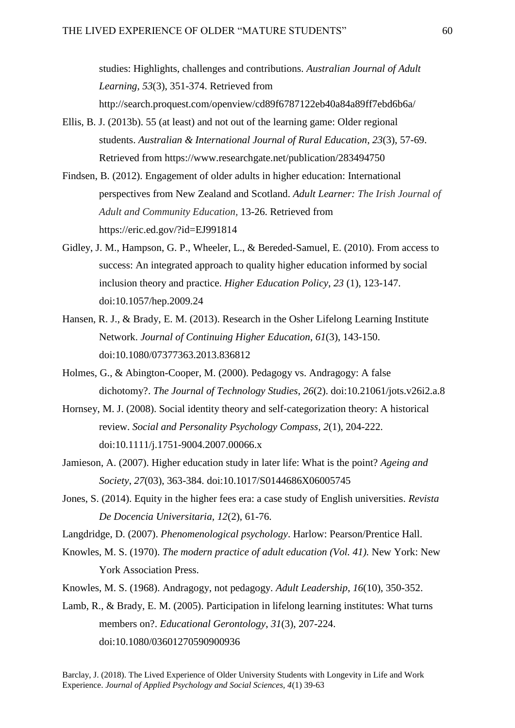studies: Highlights, challenges and contributions. *Australian Journal of Adult Learning, 53*(3), 351-374. Retrieved from

http://search.proquest.com/openview/cd89f6787122eb40a84a89ff7ebd6b6a/

- Ellis, B. J. (2013b). 55 (at least) and not out of the learning game: Older regional students. *Australian & International Journal of Rural Education*, *23*(3), 57-69. Retrieved from [https://www.researchgate.net/publication/283494750](https://www.researchgate.net/publication/283494750_55_AT_LEAST_AND_NOT_OUT_OF_THE_LEARNING_GAME_OLDER_REGIONAL_STUDENTS)
- Findsen, B. (2012). Engagement of older adults in higher education: International perspectives from New Zealand and Scotland. *Adult Learner: The Irish Journal of Adult and Community Education,* 13-26. Retrieved from https://eric.ed.gov/?id=EJ991814
- Gidley, J. M., Hampson, G. P., Wheeler, L., & Bereded-Samuel, E. (2010). From access to success: An integrated approach to quality higher education informed by social inclusion theory and practice. *Higher Education Policy*, *23* (1), 123-147. doi:10.1057/hep.2009.24
- Hansen, R. J., & Brady, E. M. (2013). Research in the Osher Lifelong Learning Institute Network. *Journal of Continuing Higher Education*, *61*(3), 143-150. doi:10.1080/07377363.2013.836812
- Holmes, G., & Abington-Cooper, M. (2000). Pedagogy vs. Andragogy: A false dichotomy?. *The Journal of Technology Studies*, *26*(2). doi:10.21061/jots.v26i2.a.8
- Hornsey, M. J. (2008). Social identity theory and self-categorization theory: A historical review. *Social and Personality Psychology Compass*, *2*(1), 204-222. doi:10.1111/j.1751-9004.2007.00066.x
- Jamieson, A. (2007). Higher education study in later life: What is the point? *Ageing and Society*, *27*(03), 363-384. doi:10.1017/S0144686X06005745
- Jones, S. (2014). Equity in the higher fees era: a case study of English universities. *Revista De Docencia Universitaria, 12*(2), 61-76.
- Langdridge, D. (2007). *Phenomenological psychology*. Harlow: Pearson/Prentice Hall.
- Knowles, M. S. (1970). *The modern practice of adult education (Vol. 41).* New York: New York Association Press.
- Knowles, M. S. (1968). Andragogy, not pedagogy. *Adult Leadership*, *16*(10), 350-352.
- Lamb, R., & Brady, E. M. (2005). Participation in lifelong learning institutes: What turns members on?. *Educational Gerontology*, *31*(3), 207-224. doi:10.1080/03601270590900936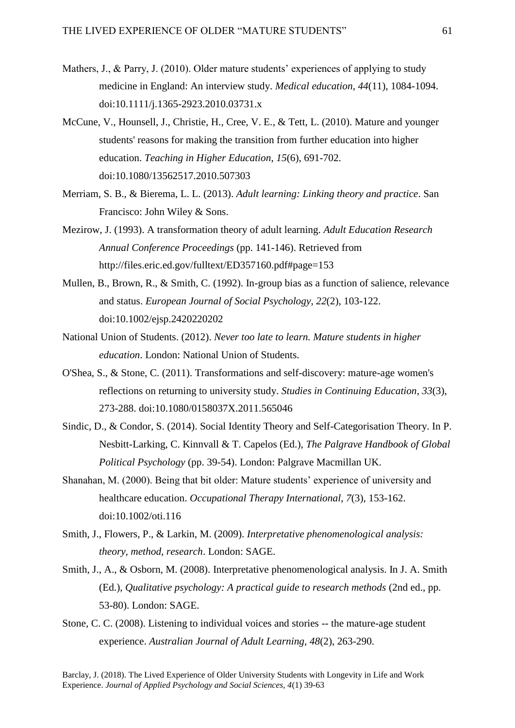- Mathers, J., & Parry, J. (2010). Older mature students' experiences of applying to study medicine in England: An interview study. *Medical education*, *44*(11), 1084-1094. doi:10.1111/j.1365-2923.2010.03731.x
- McCune, V., Hounsell, J., Christie, H., Cree, V. E., & Tett, L. (2010). Mature and younger students' reasons for making the transition from further education into higher education. *Teaching in Higher Education*, *15*(6), 691-702. doi:10.1080/13562517.2010.507303
- Merriam, S. B., & Bierema, L. L. (2013). *Adult learning: Linking theory and practice*. San Francisco: John Wiley & Sons.
- Mezirow, J. (1993). A transformation theory of adult learning. *Adult Education Research Annual Conference Proceedings* (pp. 141-146). Retrieved from http://files.eric.ed.gov/fulltext/ED357160.pdf#page=153
- Mullen, B., Brown, R., & Smith, C. (1992). In-group bias as a function of salience, relevance and status. *European Journal of Social Psychology*, *22*(2), 103-122. doi:10.1002/ejsp.2420220202
- National Union of Students. (2012). *Never too late to learn. Mature students in higher education*. London: National Union of Students.
- O'Shea, S., & Stone, C. (2011). Transformations and self-discovery: mature-age women's reflections on returning to university study. *Studies in Continuing Education*, *33*(3), 273-288. doi:10.1080/0158037X.2011.565046
- Sindic, D., & Condor, S. (2014). Social Identity Theory and Self-Categorisation Theory. In P. Nesbitt-Larking, C. Kinnvall & T. Capelos (Ed.), *The Palgrave Handbook of Global Political Psychology* (pp. 39-54). London: Palgrave Macmillan UK.
- Shanahan, M. (2000). Being that bit older: Mature students' experience of university and healthcare education. *Occupational Therapy International*, *7*(3), 153-162. doi:10.1002/oti.116
- Smith, J., Flowers, P., & Larkin, M. (2009). *Interpretative phenomenological analysis: theory, method, research*. London: SAGE.
- Smith, J., A., & Osborn, M. (2008). Interpretative phenomenological analysis. In J. A. Smith (Ed.), *Qualitative psychology: A practical guide to research methods* (2nd ed., pp. 53-80). London: SAGE.
- Stone, C. C. (2008). Listening to individual voices and stories -- the mature-age student experience. *Australian Journal of Adult Learning*, *48*(2), 263-290.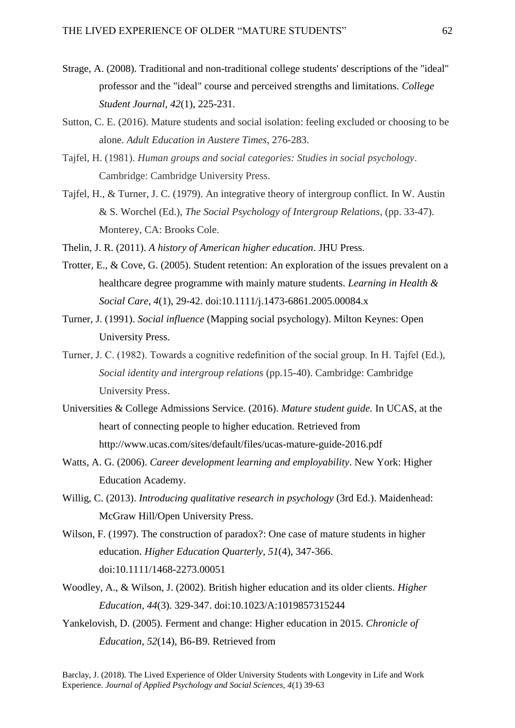- Strage, A. (2008). Traditional and non-traditional college students' descriptions of the "ideal" professor and the "ideal" course and perceived strengths and limitations. *College Student Journal*, *42*(1), 225-231.
- Sutton, C. E. (2016). Mature students and social isolation: feeling excluded or choosing to be alone. *Adult Education in Austere Times*, 276-283.
- Tajfel, H. (1981). *Human groups and social categories: Studies in social psychology*. Cambridge: Cambridge University Press.
- Tajfel, H., & Turner, J. C. (1979). An integrative theory of intergroup conflict. In W. Austin & S. Worchel (Ed.), *The Social Psychology of Intergroup Relations*, (pp. 33-47). Monterey, CA: Brooks Cole.
- Thelin, J. R. (2011). *A history of American higher education*. JHU Press.
- Trotter, E., & Cove, G. (2005). Student retention: An exploration of the issues prevalent on a healthcare degree programme with mainly mature students. *Learning in Health & Social Care*, *4*(1), 29-42. doi:10.1111/j.1473-6861.2005.00084.x
- Turner, J. (1991). *Social influence* (Mapping social psychology). Milton Keynes: Open University Press.
- Turner, J. C. (1982). Towards a cognitive redefinition of the social group. In H. Tajfel (Ed.), *Social identity and intergroup relations* (pp.15-40). Cambridge: Cambridge University Press.
- Universities & College Admissions Service. (2016). *Mature student guide.* In UCAS, at the heart of connecting people to higher education. Retrieved from http://www.ucas.com/sites/default/files/ucas-mature-guide-2016.pdf
- Watts, A. G. (2006). *Career development learning and employability*. New York: Higher Education Academy.
- Willig, C. (2013). *Introducing qualitative research in psychology* (3rd Ed.). Maidenhead: McGraw Hill/Open University Press.
- Wilson, F. (1997). The construction of paradox?: One case of mature students in higher education. *Higher Education Quarterly*, *51*(4), 347-366. doi:10.1111/1468-2273.00051
- Woodley, A., & Wilson, J. (2002). British higher education and its older clients. *Higher Education*, *44*(3). 329-347. doi:10.1023/A:1019857315244
- Yankelovish, D. (2005). Ferment and change: Higher education in 2015. *Chronicle of Education*, *52*(14), B6-B9. Retrieved from